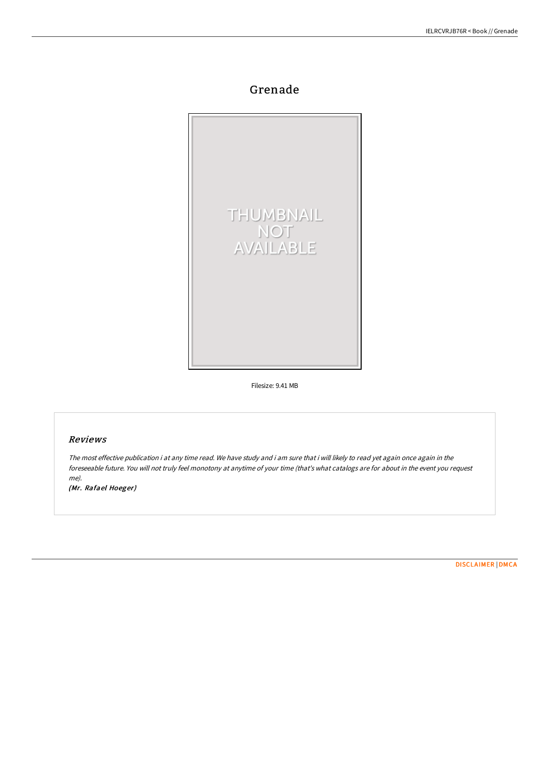# Grenade



Filesize: 9.41 MB

## Reviews

The most effective publication i at any time read. We have study and i am sure that i will likely to read yet again once again in the foreseeable future. You will not truly feel monotony at anytime of your time (that's what catalogs are for about in the event you request me).

(Mr. Rafael Hoeger)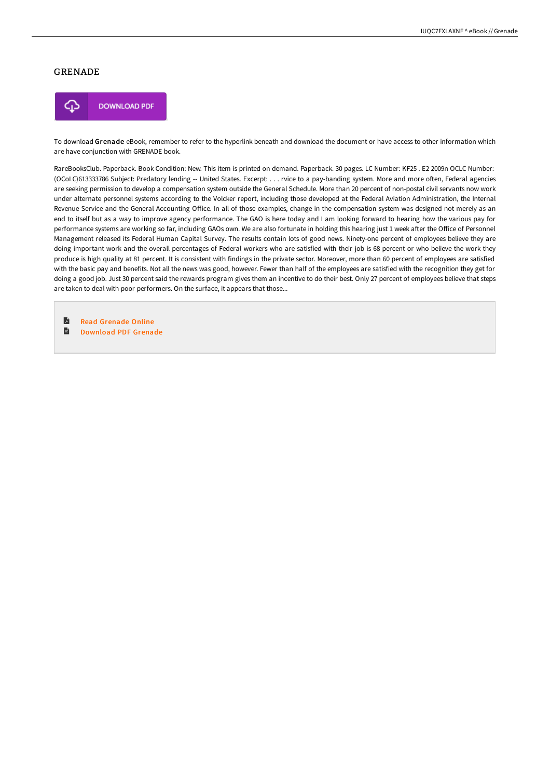### GRENADE



To download Grenade eBook, remember to refer to the hyperlink beneath and download the document or have access to other information which are have conjunction with GRENADE book.

RareBooksClub. Paperback. Book Condition: New. This item is printed on demand. Paperback. 30 pages. LC Number: KF25 . E2 2009n OCLC Number: (OCoLC)613333786 Subject: Predatory lending -- United States. Excerpt: . . . rvice to a pay-banding system. More and more often, Federal agencies are seeking permission to develop a compensation system outside the General Schedule. More than 20 percent of non-postal civil servants now work under alternate personnel systems according to the Volcker report, including those developed at the Federal Aviation Administration, the Internal Revenue Service and the General Accounting Office. In all of those examples, change in the compensation system was designed not merely as an end to itself but as a way to improve agency performance. The GAO is here today and I am looking forward to hearing how the various pay for performance systems are working so far, including GAOs own. We are also fortunate in holding this hearing just 1 week after the Office of Personnel Management released its Federal Human Capital Survey. The results contain lots of good news. Ninety-one percent of employees believe they are doing important work and the overall percentages of Federal workers who are satisfied with their job is 68 percent or who believe the work they produce is high quality at 81 percent. It is consistent with findings in the private sector. Moreover, more than 60 percent of employees are satisfied with the basic pay and benefits. Not all the news was good, however. Fewer than half of the employees are satisfied with the recognition they get for doing a good job. Just 30 percent said the rewards program gives them an incentive to do their best. Only 27 percent of employees believe that steps are taken to deal with poor performers. On the surface, it appears that those...

 $\blacksquare$ Read [Grenade](http://bookera.tech/grenade.html) Online  $\blacksquare$ [Download](http://bookera.tech/grenade.html) PDF Grenade